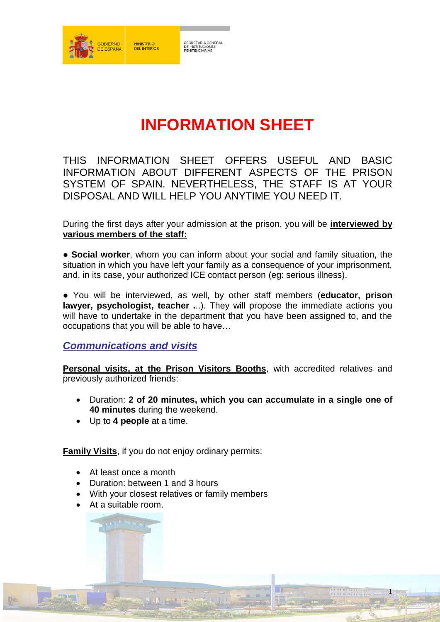

# **INFORMATION SHEET**

THIS INFORMATION SHEET OFFERS USEFUL AND BASIC INFORMATION ABOUT DIFFERENT ASPECTS OF THE PRISON SYSTEM OF SPAIN. NEVERTHELESS, THE STAFF IS AT YOUR DISPOSAL AND WILL HELP YOU ANYTIME YOU NEED IT.

During the first days after your admission at the prison, you will be **interviewed by various members of the staff:**

● **Social worker**, whom you can inform about your social and family situation, the situation in which you have left your family as a consequence of your imprisonment. and, in its case, your authorized ICE contact person (eg: serious illness).

● You will be interviewed, as well, by other staff members (**educator, prison lawyer, psychologist, teacher .**..). They will propose the immediate actions you will have to undertake in the department that you have been assigned to, and the occupations that you will be able to have…

## *Communications and visits*

**Personal visits, at the Prison Visitors Booths**, with accredited relatives and previously authorized friends:

 Duration: **2 of 20 minutes, which you can accumulate in a single one of 40 minutes** during the weekend.

1

Up to **4 people** at a time.

**Family Visits**, if you do not enjoy ordinary permits:

- At least once a month
- Duration: between 1 and 3 hours
- With your closest relatives or family members
- At a suitable room.

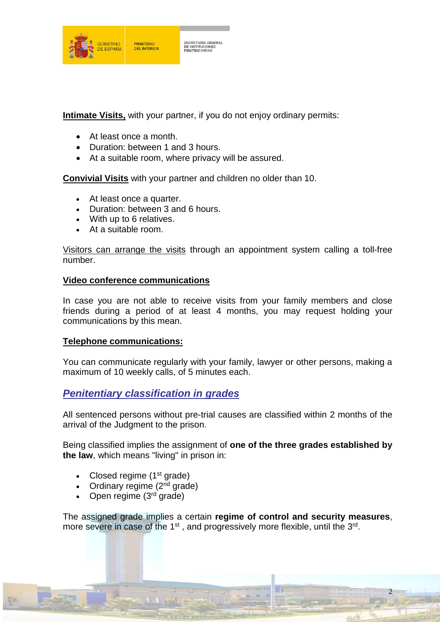

**Intimate Visits,** with your partner, if you do not enjoy ordinary permits:

- At least once a month.
- Duration: between 1 and 3 hours.
- At a suitable room, where privacy will be assured.

**Convivial Visits** with your partner and children no older than 10.

- At least once a quarter.
- Duration: between 3 and 6 hours.
- With up to 6 relatives.
- At a suitable room.

Visitors can arrange the visits through an appointment system calling a toll-free number.

#### **Video conference communications**

In case you are not able to receive visits from your family members and close friends during a period of at least 4 months, you may request holding your communications by this mean.

#### **Telephone communications:**

You can communicate regularly with your family, lawyer or other persons, making a maximum of 10 weekly calls, of 5 minutes each.

## *Penitentiary classification in grades*

All sentenced persons without pre-trial causes are classified within 2 months of the arrival of the Judgment to the prison.

Being classified implies the assignment of **one of the three grades established by the law**, which means "living" in prison in:

- Closed regime  $(1<sup>st</sup> grade)$
- Ordinary regime  $(2^{nd}$  grade)
- Open regime  $(3<sup>rd</sup>$  grade)

The assigned grade implies a certain **regime of control and security measures**, more severe in case of the  $1<sup>st</sup>$ , and progressively more flexible, until the  $3<sup>rd</sup>$ .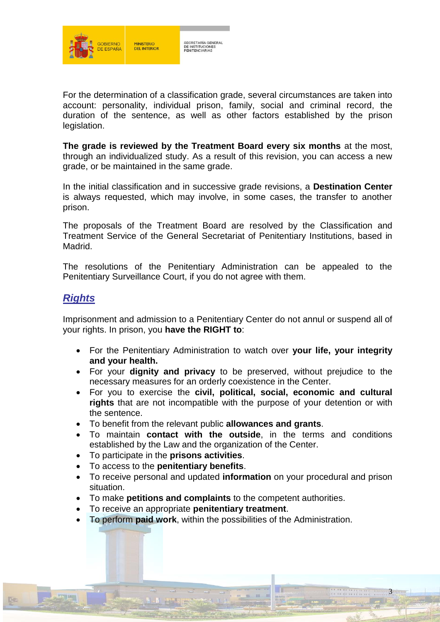

For the determination of a classification grade, several circumstances are taken into account: personality, individual prison, family, social and criminal record, the duration of the sentence, as well as other factors established by the prison legislation.

**The grade is reviewed by the Treatment Board every six months** at the most, through an individualized study. As a result of this revision, you can access a new grade, or be maintained in the same grade.

In the initial classification and in successive grade revisions, a **Destination Center** is always requested, which may involve, in some cases, the transfer to another prison.

The proposals of the Treatment Board are resolved by the Classification and Treatment Service of the General Secretariat of Penitentiary Institutions, based in Madrid.

The resolutions of the Penitentiary Administration can be appealed to the Penitentiary Surveillance Court, if you do not agree with them.

## *Rights*

Imprisonment and admission to a Penitentiary Center do not annul or suspend all of your rights. In prison, you **have the RIGHT to**:

- For the Penitentiary Administration to watch over **your life, your integrity and your health.**
- For your **dignity and privacy** to be preserved, without prejudice to the necessary measures for an orderly coexistence in the Center.
- For you to exercise the **civil, political, social, economic and cultural rights** that are not incompatible with the purpose of your detention or with the sentence.
- To benefit from the relevant public **allowances and grants**.
- To maintain **contact with the outside**, in the terms and conditions established by the Law and the organization of the Center.
- To participate in the **prisons activities**.
- To access to the **penitentiary benefits**.
- To receive personal and updated **information** on your procedural and prison situation.

- To make **petitions and complaints** to the competent authorities.
- To receive an appropriate **penitentiary treatment**.
- To perform **paid work**, within the possibilities of the Administration.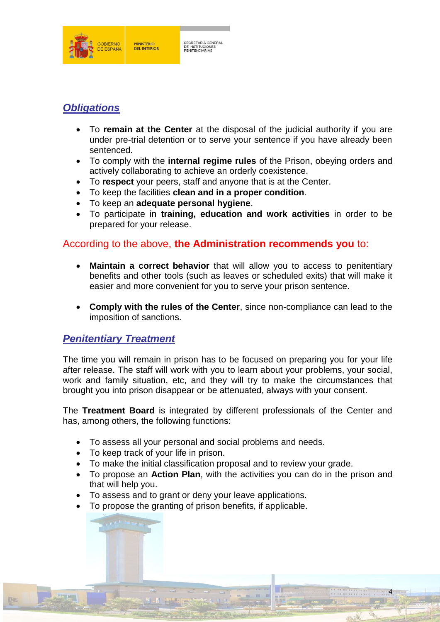

# *Obligations*

- To **remain at the Center** at the disposal of the judicial authority if you are under pre-trial detention or to serve your sentence if you have already been sentenced.
- To comply with the **internal regime rules** of the Prison, obeying orders and actively collaborating to achieve an orderly coexistence.
- To **respect** your peers, staff and anyone that is at the Center.
- To keep the facilities **clean and in a proper condition**.
- To keep an **adequate personal hygiene**.
- To participate in **training, education and work activities** in order to be prepared for your release.

## According to the above, **the Administration recommends you** to:

- **Maintain a correct behavior** that will allow you to access to penitentiary benefits and other tools (such as leaves or scheduled exits) that will make it easier and more convenient for you to serve your prison sentence.
- **Comply with the rules of the Center**, since non-compliance can lead to the imposition of sanctions.

## *Penitentiary Treatment*

The time you will remain in prison has to be focused on preparing you for your life after release. The staff will work with you to learn about your problems, your social, work and family situation, etc, and they will try to make the circumstances that brought you into prison disappear or be attenuated, always with your consent.

The **Treatment Board** is integrated by different professionals of the Center and has, among others, the following functions:

- To assess all your personal and social problems and needs.
- To keep track of your life in prison.
- To make the initial classification proposal and to review your grade.
- To propose an **Action Plan**, with the activities you can do in the prison and that will help you.

- To assess and to grant or deny your leave applications.
- To propose the granting of prison benefits, if applicable.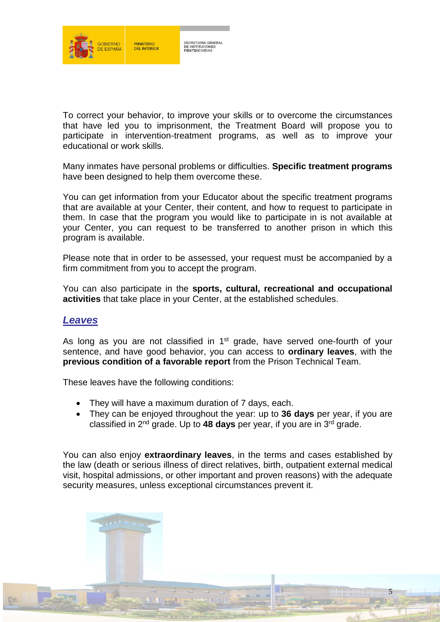

To correct your behavior, to improve your skills or to overcome the circumstances that have led you to imprisonment, the Treatment Board will propose you to participate in intervention-treatment programs, as well as to improve your educational or work skills.

Many inmates have personal problems or difficulties. **Specific treatment programs** have been designed to help them overcome these.

You can get information from your Educator about the specific treatment programs that are available at your Center, their content, and how to request to participate in them. In case that the program you would like to participate in is not available at your Center, you can request to be transferred to another prison in which this program is available.

Please note that in order to be assessed, your request must be accompanied by a firm commitment from you to accept the program.

You can also participate in the **sports, cultural, recreational and occupational activities** that take place in your Center, at the established schedules.

## *Leaves*

As long as you are not classified in 1<sup>st</sup> grade, have served one-fourth of your sentence, and have good behavior, you can access to **ordinary leaves**, with the **previous condition of a favorable report** from the Prison Technical Team.

These leaves have the following conditions:

- They will have a maximum duration of 7 days, each.
- They can be enjoyed throughout the year: up to **36 days** per year, if you are classified in 2<sup>nd</sup> grade. Up to 48 days per year, if you are in 3<sup>rd</sup> grade.

You can also enjoy **extraordinary leaves**, in the terms and cases established by the law (death or serious illness of direct relatives, birth, outpatient external medical visit, hospital admissions, or other important and proven reasons) with the adequate security measures, unless exceptional circumstances prevent it.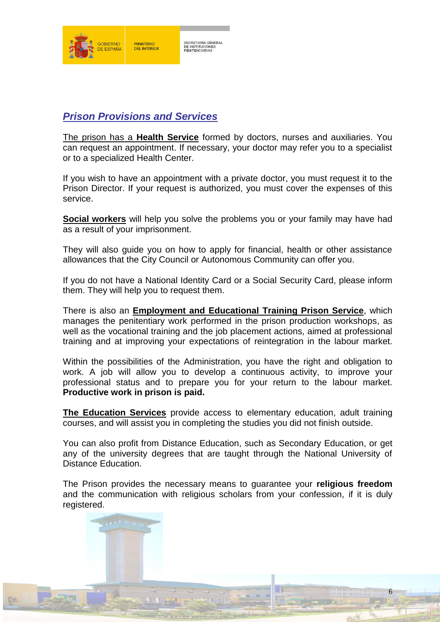

## *Prison Provisions and Services*

The prison has a **Health Service** formed by doctors, nurses and auxiliaries. You can request an appointment. If necessary, your doctor may refer you to a specialist or to a specialized Health Center.

If you wish to have an appointment with a private doctor, you must request it to the Prison Director. If your request is authorized, you must cover the expenses of this service.

**Social workers** will help you solve the problems you or your family may have had as a result of your imprisonment.

They will also guide you on how to apply for financial, health or other assistance allowances that the City Council or Autonomous Community can offer you.

If you do not have a National Identity Card or a Social Security Card, please inform them. They will help you to request them.

There is also an **Employment and Educational Training Prison Service**, which manages the penitentiary work performed in the prison production workshops, as well as the vocational training and the job placement actions, aimed at professional training and at improving your expectations of reintegration in the labour market.

Within the possibilities of the Administration, you have the right and obligation to work. A job will allow you to develop a continuous activity, to improve your professional status and to prepare you for your return to the labour market. **Productive work in prison is paid.**

**The Education Services** provide access to elementary education, adult training courses, and will assist you in completing the studies you did not finish outside.

You can also profit from Distance Education, such as Secondary Education, or get any of the university degrees that are taught through the National University of Distance Education.

The Prison provides the necessary means to guarantee your **religious freedom** and the communication with religious scholars from your confession, if it is duly registered.